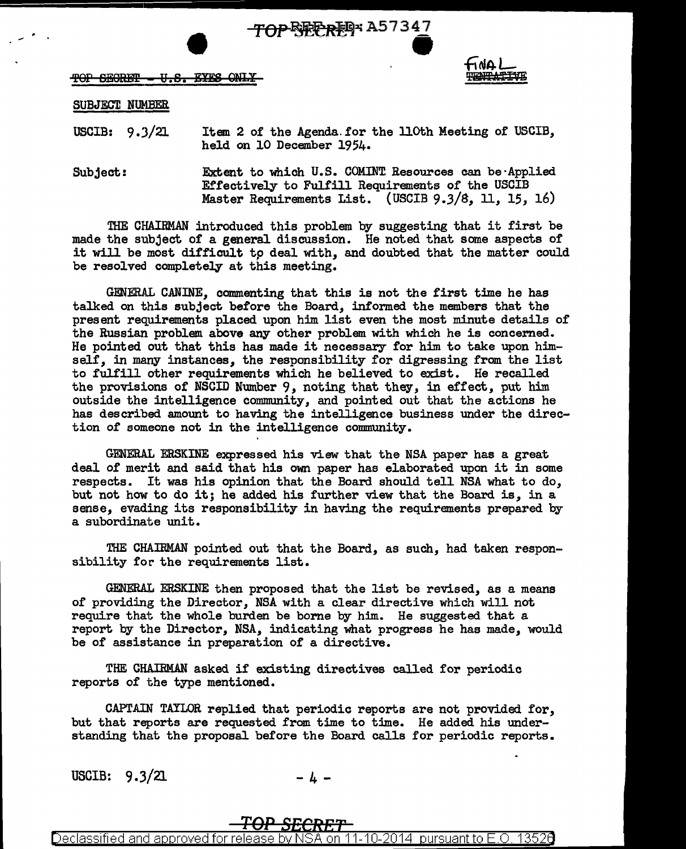TOP BEEREP A57347 - - - "

 $TOP$  SEGRET - U.S. EYES ONLY



### SUBJECT NUMBER

USCIB:  $9.3/21$ Item 2 of the Agenda.for the llOth Meeting of USCIB, held on 10 December 1954.

Subject: Extent to which U.S. COMINT Resources can be·Applied Effectively to Fulfill Requirements of the USCIB Master Requirements List. {USCIB 9.3/8, 11, 15, 16)

THE CHAIRMAN introduced this problem by suggesting that it first be made the subject of a general discussion. He noted that some aspects of it will be most difficult *tp* deal with, and doubted that the matter could be resolved completely at this meeting.

GENERAL CANINE, commenting that this is not the first time he has talked on this subject before the Board, informed the members that the present requirements placed upon him list even the most minute details of the Russian problem above any other problem with which he is concerned. He pointed out that this has made it necessary for him to take upon himself, in many instances, the responsibility for digressing from the list to fulfill other requirements which he believed to exist. He recalled. the provisions of NSCID Number 9, noting that they, in effect, put him outside the intelligence community, and pointed out that the actions he has described amount to having the intelligence business under the direction of someone not in the intelligence community.

GENERAL ERSKINE expressed his view that the NSA paper has a great deal of merit and said that his own paper has elaborated upon it in some respects. It was his opinion that the Board should tell NSA what to do, but not how to do it; he added his further view that the Board is, in <sup>a</sup> sense, evading its responsibility in having the requirements prepared by a subordinate unit.

THE CHAIRMAN pointed out that the Board, as such, had taken responsibility for the requirements list.

GENERAL ERSKINE then proposed that the list be revised, as a means of providing the Director, NSA with a clear directive which will not require that the whole burden be borne by him. He suggested that a report by the Director, NSA, indicating what progress he has made, would be of assistance in preparation of a directive.

THE CHAIRMAN asked if existing directives called for periodic reports of the type mentioned.

CAPTAIN TAYLOR replied that periodic reports are not provided for, but that reports are requested from time to time. He added his understanding that the proposal before the Board calls for periodic reports.

USCIB:  $9.3/21$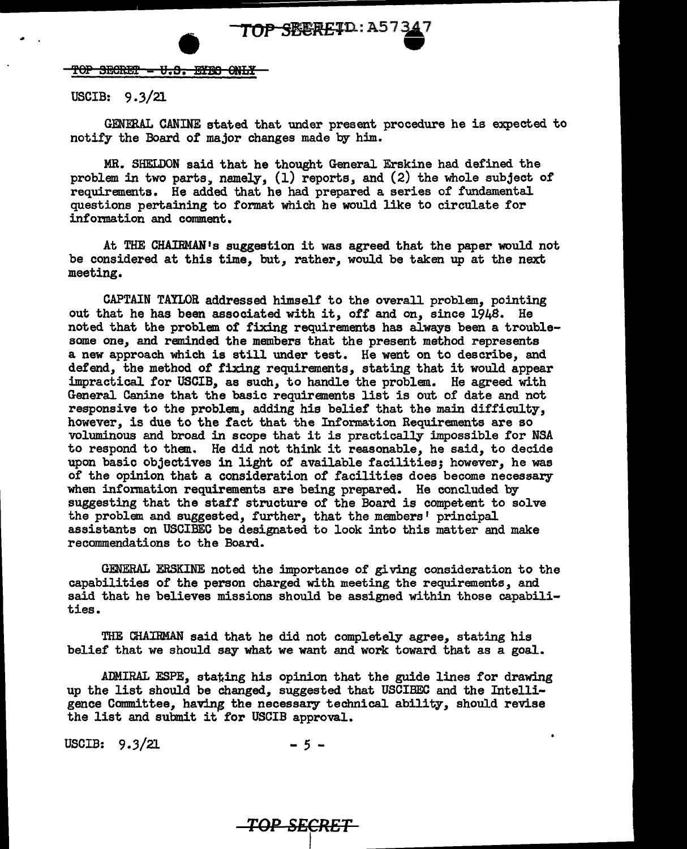# TOP SEEREID: A573

TOP SECRET - U.S. EYES ONLY

USCIB: 9.3/21

GENERAL CANINE stated that under present procedure he is expected to notify the Board of major changes made by him.

MR. SHELDON said that he thought General Erskine had defined the problem in two parts, namely,  $(1)$  reports, and  $(2)$  the whole subject of requirements. He added that he had prepared a series of fundamental questions pertaining to format which be would like to circulate for information and comment.

At THE: CHAIRMAN <sup>1</sup>s suggestion it was agreed that the paper would not be considered at this time, but, rather, would be taken up at the next meeting.

CAPTAIN TAYLOR addressed himself' to the overall problem, pointing out that he has been associated with it, off and on, since 1948. He noted that the problem of fixing requirements has always been a troublesome one, and reminded the members that the present method represents a new approach which is still under test. He went on to describe, and defend, the method of fixing requirements, stating that it would appear impractical for USCIB, as such, to handle the problem. He agreed with General Canine that the basic requirements list is out of' date and not responsive to the problem, adding his belief that the main difficulty, however, is due to the fact that the Information Requirements are so voluminous and broad in scope that it is practically impossible for NSA to respond to them. He did not think it reasonable, he said, to decide upon basic objectives in light of available facilities; however, he was of the opinion that a consideration of facilities does become necessary when information requirements are being prepared. He concluded by suggesting that the staff structure of the Board is competent to solve the problem and suggested, further, that the members' principal assistants on USCIBEC be designated to look into this matter and make recommendations to the Board.

GENERAL ERSKINE noted the importance of giving consideration to the capabilities of the person charged with meeting the requirements, and said that he believes missions should be assigned within those capabilities.

THE CHAIRMAN said that he did not completely agree, stating his belief' that we should say what we want and work toward that as a goal.

ADMIRAL ESPE, stating his opinion that the guide lines for drawing up the list should be changed, suggested that USCIBEC and the Intelligence Committee, having the necessary technical ability, should revise the list and submit it for USCIB approval.

USCIB: 9.3/21 - 5 -

**TOP SECRET** 

 $\lceil \rceil$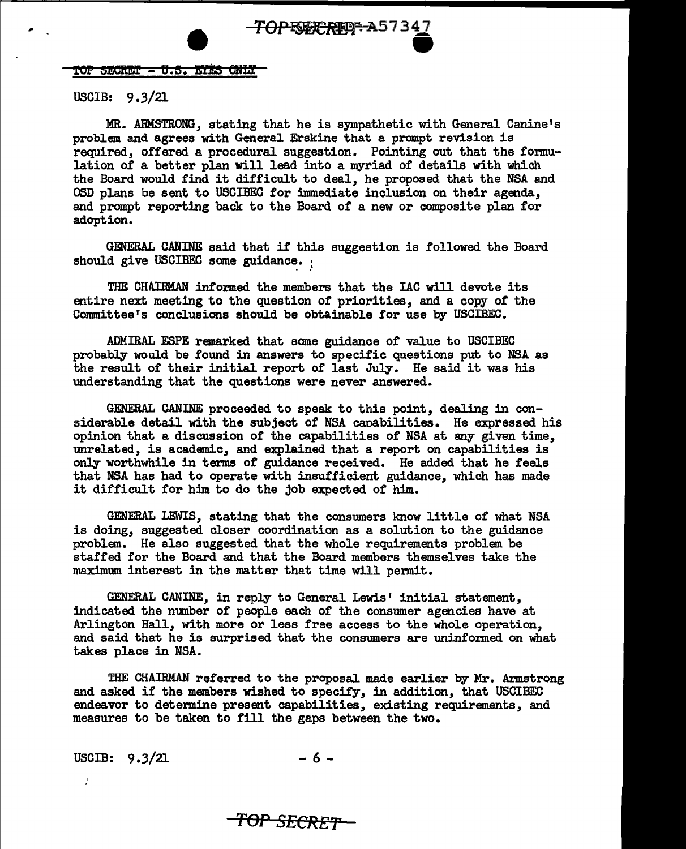TOP-ENEXTREPT-A57347<br>TOP SECRET - U.S. EYES ONLY

#### USCIB: 9.3/21

MR. ARMSTRONG, stating that he is sympathetic with General Canine <sup>1</sup>s problem and agrees with General Erskine that a prompt revision is required, offered a procedural suggestion. Pointing out that the formulation of a better plan will lead into a myriad of details with which the Board would find it difficult to deal, he proposed that the NSA and OSD plans be sent to USCIBEC for immediate inclusion on their agenda, and prompt reporting back to the Board of a new or composite plan for adoption.

GENERAL CANINE said that if this suggestion is followed the Board should give USCIBEC some guidance.

THE CHAIRMAN informed the members that the IAC will devote its entire next meeting to the question of priorities, and a copy of the Committeers conclusions should be obtainable for use by USCIBEC.

ADMIRAL ESPE remarked that some guidance of value to USCIBEC probably would be found in answers to specific questions put to NSA as the result of their initial report of last July. He said it was his understanding that the questions were never answered.

GENERAL CANINE proceeded to speak to this point, dealing in considerable detail with the subject of NSA canabilities. He expressed his opinion that a discussion of the capabilities of NSA at any given time, unrelated, is academic, and explained that a report on capabilities is only worthwhile in tenns of guidance received. He added that he feels that NSA has had to operate with insufficient guidance, which has made it difficult for him to do the job expected of him.

GENERAL LEWIS, stating that the consumers know little of what NSA is doing, suggested closer coordination as a solution to the guidance problem. He also suggested that the whole requirements problem be staffed for the Board and that the Board members themselves take the maximum interest in the matter that time will permit.

GENERAL CANINE, in reply to General Lewis' initial statement, indicated the number of people each of the consumer agencies have at Arlington Hall, with more or less free access to the whole operation, and said that he is surprised that the consumers are uninformed on what takes place in NSA.

THE CHAIRMAN referred to the proposal made earlier by Mr. Armstrong and asked if the members wished to specify, in addition, that USCIBEC endeavor to determine present capabilities, existing requirements, and measures to be taken to fill the gaps between the two.

USCIB:  $9.3/21$  - 6 -

÷

*TOP SECRET*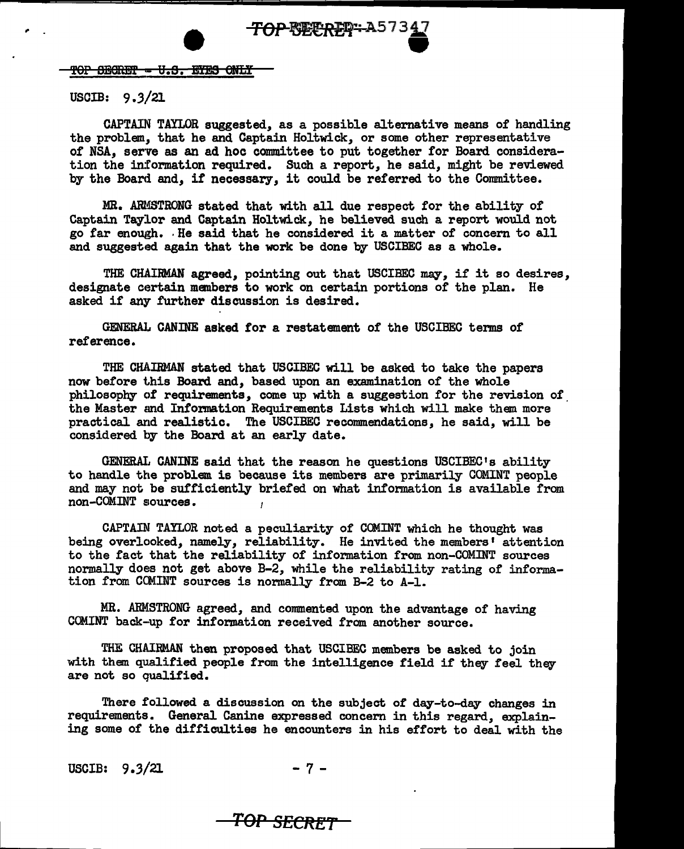### USCIB:  $9.3/21$

CAPTAIN TAYLOR suggested, as a possible alternative means of handling the problem, that he and Captain Holtwick, or some other representative of NSA, serve as an ad hoc committee to put together for Board consideration the information required. Such a report, he said, might be reviewed by the Board and, if necessary, it could be referred to the Committee.

MR. ARMSTRONG stated that with all due respect for the ability of Captain Taylor and Captain Holtwick, he believed such a report would not go far enough •. He said that he considered it a matter of concern to all and suggested again that the work be done by USCIBEC as a whole.

THE CHAIRMAN agreed, pointing out that USCIBEC may, if it so desires, designate certain members to work on certain portions of the plan. He asked if any further discussion is desired.

GENERAL. CANINE asked for a restatement of the USCIBEC terms of reference.

THE CHAIRMAN stated that USCIBEC will be asked to take the papers now before this Board and, based upon an examination of the whole philosophy of requirements, come up with a suggestion for the revision of the Master and Information Requirements Lists which will make them more practical and realistic. The USCIBEC recommendations, he said, will be considered by the Board at an early date.

GENERAI. CANINE said that the reason he questions USCIBEC's ability to handle the problem is because its members are primarily COMINT people and may not be sufficiently briefed on what information is available from non-COMINT sources.

CAPTAIN TAYLOR noted a peculiarity of COMINT which he thought was being overlooked, namely, reliability. He invited the members' attention to the fact that the reliability of information from non-COMINT sources normally does not get above B-2, while the reliability rating of information from COMINT sources is normally from B-2 to A-1.

MR. ARMSTRONG agreed, and commented upon the advantage of having COMINT back-up for information received from another source.

THE CHAIRMAN then proposed that USCIBEC members be asked to join with them qualified people from the intelligence field if they feel they are not so qualified.

There followed a discussion on the subject of day-to-day changes in requirements. General Canine expressed concern in this regard, explaining some of the difficulties he encounters in his effort to deal with the

USCIB:  $9.3/21$  - 7 -

## *TOP SECRET*